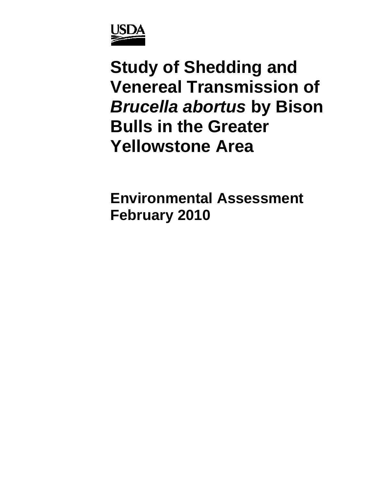

**Study of Shedding and Venereal Transmission of**  *Brucella abortus* **by Bison Bulls in the Greater Yellowstone Area** 

**Environmental Assessment February 2010**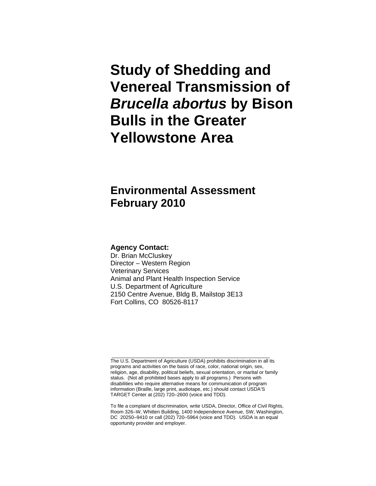**Study of Shedding and Venereal Transmission of**  *Brucella abortus* **by Bison Bulls in the Greater Yellowstone Area** 

# **Environmental Assessment February 2010**

#### **Agency Contact:**

Dr. Brian McCluskey Director – Western Region Veterinary Services Animal and Plant Health Inspection Service U.S. Department of Agriculture 2150 Centre Avenue, Bldg B, Mailstop 3E13 Fort Collins, CO 80526-8117

The U.S. Department of Agriculture (USDA) prohibits discrimination in all its programs and activities on the basis of race, color, national origin, sex, religion, age, disability, political beliefs, sexual orientation, or marital or family status. (Not all prohibited bases apply to all programs.) Persons with disabilities who require alternative means for communication of program information (Braille, large print, audiotape, etc.) should contact USDA'S TARGET Center at (202) 720–2600 (voice and TDD).

\_\_\_\_\_\_\_\_\_\_\_\_\_\_\_\_\_\_\_\_\_\_\_\_\_\_\_\_\_\_\_\_\_\_\_\_\_\_\_\_\_\_\_\_\_\_\_\_\_\_\_\_\_\_\_\_\_\_

To file a complaint of discrimination, write USDA, Director, Office of Civil Rights, Room 326–W, Whitten Building, 1400 Independence Avenue, SW, Washington, DC 20250–9410 or call (202) 720–5964 (voice and TDD). USDA is an equal opportunity provider and employer.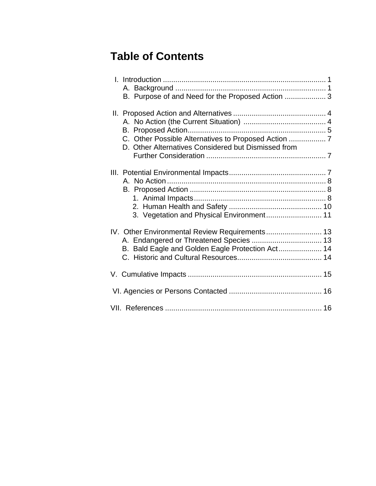# **Table of Contents**

| B. Purpose of and Need for the Proposed Action  3                                                                                             |  |
|-----------------------------------------------------------------------------------------------------------------------------------------------|--|
| C. Other Possible Alternatives to Proposed Action  7<br>D. Other Alternatives Considered but Dismissed from                                   |  |
| 3. Vegetation and Physical Environment 11                                                                                                     |  |
| IV. Other Environmental Review Requirements 13<br>A. Endangered or Threatened Species  13<br>B. Bald Eagle and Golden Eagle Protection Act 14 |  |
|                                                                                                                                               |  |
|                                                                                                                                               |  |
|                                                                                                                                               |  |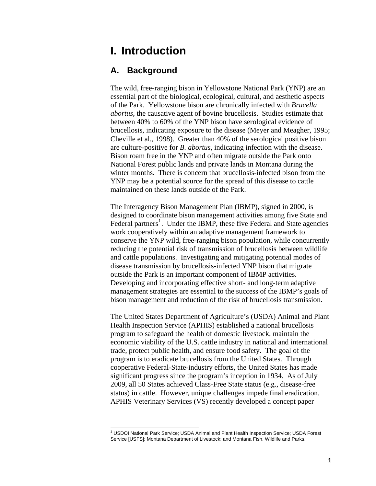# **I. Introduction**

## **A. Background**

The wild, free-ranging bison in Yellowstone National Park (YNP) are an essential part of the biological, ecological, cultural, and aesthetic aspects of the Park. Yellowstone bison are chronically infected with *Brucella abortus*, the causative agent of bovine brucellosis. Studies estimate that between 40% to 60% of the YNP bison have serological evidence of brucellosis, indicating exposure to the disease (Meyer and Meagher, 1995; Cheville et al., 1998). Greater than 40% of the serological positive bison are culture-positive for *B. abortus*, indicating infection with the disease. Bison roam free in the YNP and often migrate outside the Park onto National Forest public lands and private lands in Montana during the winter months. There is concern that brucellosis-infected bison from the YNP may be a potential source for the spread of this disease to cattle maintained on these lands outside of the Park.

The Interagency Bison Management Plan (IBMP), signed in 2000, is designed to coordinate bison management activities among five State and Federal partners<sup>[1](#page-3-0)</sup>. Under the IBMP, these five Federal and State agencies work cooperatively within an adaptive management framework to conserve the YNP wild, free-ranging bison population, while concurrently reducing the potential risk of transmission of brucellosis between wildlife and cattle populations. Investigating and mitigating potential modes of disease transmission by brucellosis-infected YNP bison that migrate outside the Park is an important component of IBMP activities. Developing and incorporating effective short- and long-term adaptive management strategies are essential to the success of the IBMP's goals of bison management and reduction of the risk of brucellosis transmission.

The United States Department of Agriculture's (USDA) Animal and Plant Health Inspection Service (APHIS) established a national brucellosis program to safeguard the health of domestic livestock, maintain the economic viability of the U.S. cattle industry in national and international trade, protect public health, and ensure food safety. The goal of the program is to eradicate brucellosis from the United States. Through cooperative Federal-State-industry efforts, the United States has made significant progress since the program's inception in 1934. As of July 2009, all 50 States achieved Class-Free State status (e.g., disease-free status) in cattle. However, unique challenges impede final eradication. APHIS Veterinary Services (VS) recently developed a concept paper

<span id="page-3-0"></span> $\overline{a}$ <sup>1</sup> USDOI National Park Service; USDA Animal and Plant Health Inspection Service; USDA Forest Service [USFS]; Montana Department of Livestock; and Montana Fish, Wildlife and Parks.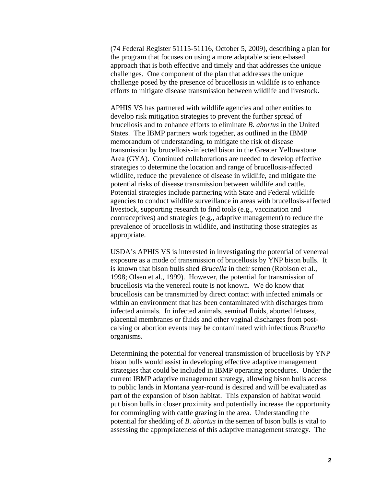(74 Federal Register 51115-51116, October 5, 2009), describing a plan for the program that focuses on using a more adaptable science-based approach that is both effective and timely and that addresses the unique challenges. One component of the plan that addresses the unique challenge posed by the presence of brucellosis in wildlife is to enhance efforts to mitigate disease transmission between wildlife and livestock.

APHIS VS has partnered with wildlife agencies and other entities to develop risk mitigation strategies to prevent the further spread of brucellosis and to enhance efforts to eliminate *B. abortus* in the United States. The IBMP partners work together, as outlined in the IBMP memorandum of understanding, to mitigate the risk of disease transmission by brucellosis-infected bison in the Greater Yellowstone Area (GYA). Continued collaborations are needed to develop effective strategies to determine the location and range of brucellosis-affected wildlife, reduce the prevalence of disease in wildlife, and mitigate the potential risks of disease transmission between wildlife and cattle. Potential strategies include partnering with State and Federal wildlife agencies to conduct wildlife surveillance in areas with brucellosis-affected livestock, supporting research to find tools (e.g., vaccination and contraceptives) and strategies (e.g., adaptive management) to reduce the prevalence of brucellosis in wildlife, and instituting those strategies as appropriate.

USDA's APHIS VS is interested in investigating the potential of venereal exposure as a mode of transmission of brucellosis by YNP bison bulls. It is known that bison bulls shed *Brucella* in their semen (Robison et al., 1998; Olsen et al., 1999). However, the potential for transmission of brucellosis via the venereal route is not known. We do know that brucellosis can be transmitted by direct contact with infected animals or within an environment that has been contaminated with discharges from infected animals. In infected animals, seminal fluids, aborted fetuses, placental membranes or fluids and other vaginal discharges from postcalving or abortion events may be contaminated with infectious *Brucella* organisms.

Determining the potential for venereal transmission of brucellosis by YNP bison bulls would assist in developing effective adaptive management strategies that could be included in IBMP operating procedures. Under the current IBMP adaptive management strategy, allowing bison bulls access to public lands in Montana year-round is desired and will be evaluated as part of the expansion of bison habitat. This expansion of habitat would put bison bulls in closer proximity and potentially increase the opportunity for commingling with cattle grazing in the area. Understanding the potential for shedding of *B. abortus* in the semen of bison bulls is vital to assessing the appropriateness of this adaptive management strategy. The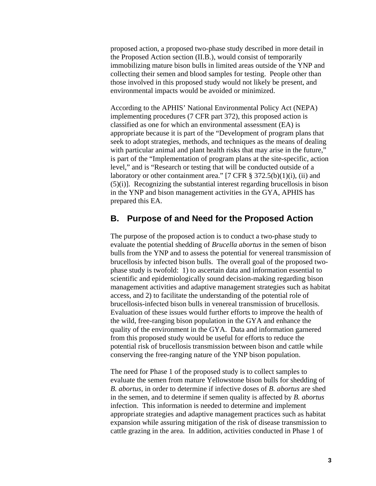proposed action, a proposed two-phase study described in more detail in the Proposed Action section (II.B.), would consist of temporarily immobilizing mature bison bulls in limited areas outside of the YNP and collecting their semen and blood samples for testing. People other than those involved in this proposed study would not likely be present, and environmental impacts would be avoided or minimized.

According to the APHIS' National Environmental Policy Act (NEPA) implementing procedures (7 CFR part 372), this proposed action is classified as one for which an environmental assessment (EA) is appropriate because it is part of the "Development of program plans that seek to adopt strategies, methods, and techniques as the means of dealing with particular animal and plant health risks that may arise in the future," is part of the "Implementation of program plans at the site-specific, action level," and is "Research or testing that will be conducted outside of a laboratory or other containment area." [7 CFR  $\S$  372.5(b)(1)(i), (ii) and (5)(i)]. Recognizing the substantial interest regarding brucellosis in bison in the YNP and bison management activities in the GYA, APHIS has prepared this EA.

### **B. Purpose of and Need for the Proposed Action**

The purpose of the proposed action is to conduct a two-phase study to evaluate the potential shedding of *Brucella abortus* in the semen of bison bulls from the YNP and to assess the potential for venereal transmission of brucellosis by infected bison bulls. The overall goal of the proposed twophase study is twofold: 1) to ascertain data and information essential to scientific and epidemiologically sound decision-making regarding bison management activities and adaptive management strategies such as habitat access, and 2) to facilitate the understanding of the potential role of brucellosis-infected bison bulls in venereal transmission of brucellosis. Evaluation of these issues would further efforts to improve the health of the wild, free-ranging bison population in the GYA and enhance the quality of the environment in the GYA. Data and information garnered from this proposed study would be useful for efforts to reduce the potential risk of brucellosis transmission between bison and cattle while conserving the free-ranging nature of the YNP bison population.

The need for Phase 1 of the proposed study is to collect samples to evaluate the semen from mature Yellowstone bison bulls for shedding of *B. abortus,* in order to determine if infective doses of *B. abortus* are shed in the semen, and to determine if semen quality is affected by *B. abortus* infection. This information is needed to determine and implement appropriate strategies and adaptive management practices such as habitat expansion while assuring mitigation of the risk of disease transmission to cattle grazing in the area. In addition, activities conducted in Phase 1 of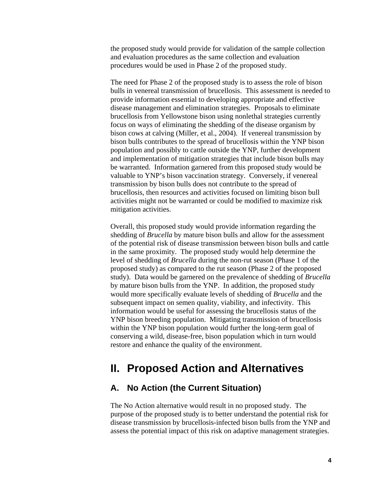the proposed study would provide for validation of the sample collection and evaluation procedures as the same collection and evaluation procedures would be used in Phase 2 of the proposed study.

The need for Phase 2 of the proposed study is to assess the role of bison bulls in venereal transmission of brucellosis. This assessment is needed to provide information essential to developing appropriate and effective disease management and elimination strategies. Proposals to eliminate brucellosis from Yellowstone bison using nonlethal strategies currently focus on ways of eliminating the shedding of the disease organism by bison cows at calving (Miller, et al., 2004). If venereal transmission by bison bulls contributes to the spread of brucellosis within the YNP bison population and possibly to cattle outside the YNP, further development and implementation of mitigation strategies that include bison bulls may be warranted. Information garnered from this proposed study would be valuable to YNP's bison vaccination strategy. Conversely, if venereal transmission by bison bulls does not contribute to the spread of brucellosis, then resources and activities focused on limiting bison bull activities might not be warranted or could be modified to maximize risk mitigation activities.

Overall, this proposed study would provide information regarding the shedding of *Brucella* by mature bison bulls and allow for the assessment of the potential risk of disease transmission between bison bulls and cattle in the same proximity. The proposed study would help determine the level of shedding of *Brucella* during the non-rut season (Phase 1 of the proposed study) as compared to the rut season (Phase 2 of the proposed study). Data would be garnered on the prevalence of shedding of *Brucella* by mature bison bulls from the YNP. In addition, the proposed study would more specifically evaluate levels of shedding of *Brucella* and the subsequent impact on semen quality, viability, and infectivity. This information would be useful for assessing the brucellosis status of the YNP bison breeding population. Mitigating transmission of brucellosis within the YNP bison population would further the long-term goal of conserving a wild, disease-free, bison population which in turn would restore and enhance the quality of the environment.

## **II. Proposed Action and Alternatives**

## **A. No Action (the Current Situation)**

The No Action alternative would result in no proposed study. The purpose of the proposed study is to better understand the potential risk for disease transmission by brucellosis-infected bison bulls from the YNP and assess the potential impact of this risk on adaptive management strategies.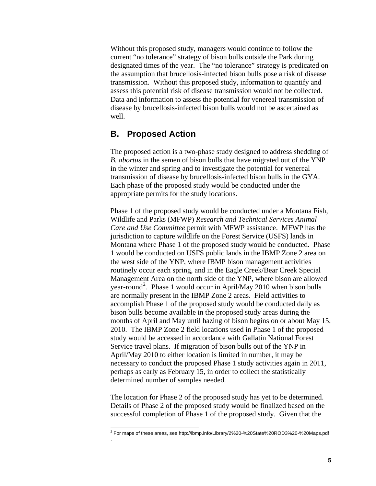Without this proposed study, managers would continue to follow the current "no tolerance" strategy of bison bulls outside the Park during designated times of the year. The "no tolerance" strategy is predicated on the assumption that brucellosis-infected bison bulls pose a risk of disease transmission. Without this proposed study, information to quantify and assess this potential risk of disease transmission would not be collected. Data and information to assess the potential for venereal transmission of disease by brucellosis-infected bison bulls would not be ascertained as well.

### **B. Proposed Action**

 $\overline{a}$ 

.

The proposed action is a two-phase study designed to address shedding of *B. abortus* in the semen of bison bulls that have migrated out of the YNP in the winter and spring and to investigate the potential for venereal transmission of disease by brucellosis-infected bison bulls in the GYA. Each phase of the proposed study would be conducted under the appropriate permits for the study locations.

Phase 1 of the proposed study would be conducted under a Montana Fish, Wildlife and Parks (MFWP) *Research and Technical Services Animal Care and Use Committee* permit with MFWP assistance. MFWP has the jurisdiction to capture wildlife on the Forest Service (USFS) lands in Montana where Phase 1 of the proposed study would be conducted. Phase 1 would be conducted on USFS public lands in the IBMP Zone 2 area on the west side of the YNP, where IBMP bison management activities routinely occur each spring, and in the Eagle Creek/Bear Creek Special Management Area on the north side of the YNP, where bison are allowed year-round<sup>[2](#page-7-0)</sup>. Phase 1 would occur in April/May 2010 when bison bulls are normally present in the IBMP Zone 2 areas. Field activities to accomplish Phase 1 of the proposed study would be conducted daily as bison bulls become available in the proposed study areas during the months of April and May until hazing of bison begins on or about May 15, 2010. The IBMP Zone 2 field locations used in Phase 1 of the proposed study would be accessed in accordance with Gallatin National Forest Service travel plans. If migration of bison bulls out of the YNP in April/May 2010 to either location is limited in number, it may be necessary to conduct the proposed Phase 1 study activities again in 2011, perhaps as early as February 15, in order to collect the statistically determined number of samples needed.

The location for Phase 2 of the proposed study has yet to be determined. Details of Phase 2 of the proposed study would be finalized based on the successful completion of Phase 1 of the proposed study. Given that the

<span id="page-7-0"></span> $^2$  For maps of these areas, see<http://ibmp.info/Library/2%20-%20State%20ROD3%20-%20Maps.pdf>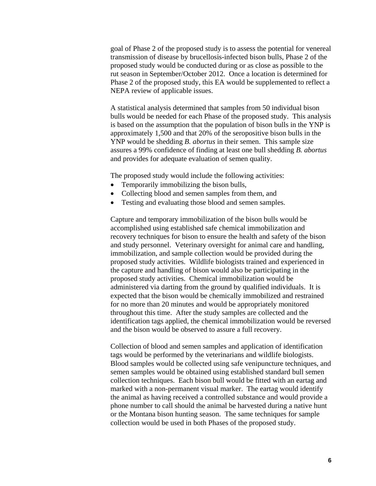goal of Phase 2 of the proposed study is to assess the potential for venereal transmission of disease by brucellosis-infected bison bulls, Phase 2 of the proposed study would be conducted during or as close as possible to the rut season in September/October 2012. Once a location is determined for Phase 2 of the proposed study, this EA would be supplemented to reflect a NEPA review of applicable issues.

A statistical analysis determined that samples from 50 individual bison bulls would be needed for each Phase of the proposed study. This analysis is based on the assumption that the population of bison bulls in the YNP is approximately 1,500 and that 20% of the seropositive bison bulls in the YNP would be shedding *B. abortus* in their semen. This sample size assures a 99% confidence of finding at least one bull shedding *B. abortus*  and provides for adequate evaluation of semen quality.

The proposed study would include the following activities:

- Temporarily immobilizing the bison bulls,
- Collecting blood and semen samples from them, and
- Testing and evaluating those blood and semen samples.

Capture and temporary immobilization of the bison bulls would be accomplished using established safe chemical immobilization and recovery techniques for bison to ensure the health and safety of the bison and study personnel. Veterinary oversight for animal care and handling, immobilization, and sample collection would be provided during the proposed study activities. Wildlife biologists trained and experienced in the capture and handling of bison would also be participating in the proposed study activities. Chemical immobilization would be administered via darting from the ground by qualified individuals. It is expected that the bison would be chemically immobilized and restrained for no more than 20 minutes and would be appropriately monitored throughout this time. After the study samples are collected and the identification tags applied, the chemical immobilization would be reversed and the bison would be observed to assure a full recovery.

Collection of blood and semen samples and application of identification tags would be performed by the veterinarians and wildlife biologists. Blood samples would be collected using safe venipuncture techniques, and semen samples would be obtained using established standard bull semen collection techniques. Each bison bull would be fitted with an eartag and marked with a non-permanent visual marker. The eartag would identify the animal as having received a controlled substance and would provide a phone number to call should the animal be harvested during a native hunt or the Montana bison hunting season. The same techniques for sample collection would be used in both Phases of the proposed study.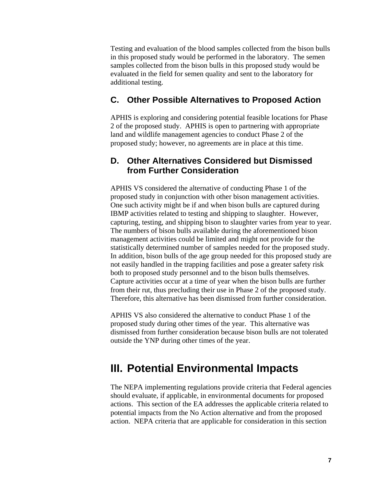Testing and evaluation of the blood samples collected from the bison bulls in this proposed study would be performed in the laboratory. The semen samples collected from the bison bulls in this proposed study would be evaluated in the field for semen quality and sent to the laboratory for additional testing.

## **C. Other Possible Alternatives to Proposed Action**

APHIS is exploring and considering potential feasible locations for Phase 2 of the proposed study. APHIS is open to partnering with appropriate land and wildlife management agencies to conduct Phase 2 of the proposed study; however, no agreements are in place at this time.

## **D. Other Alternatives Considered but Dismissed from Further Consideration**

APHIS VS considered the alternative of conducting Phase 1 of the proposed study in conjunction with other bison management activities. One such activity might be if and when bison bulls are captured during IBMP activities related to testing and shipping to slaughter. However, capturing, testing, and shipping bison to slaughter varies from year to year. The numbers of bison bulls available during the aforementioned bison management activities could be limited and might not provide for the statistically determined number of samples needed for the proposed study. In addition, bison bulls of the age group needed for this proposed study are not easily handled in the trapping facilities and pose a greater safety risk both to proposed study personnel and to the bison bulls themselves. Capture activities occur at a time of year when the bison bulls are further from their rut, thus precluding their use in Phase 2 of the proposed study. Therefore, this alternative has been dismissed from further consideration.

APHIS VS also considered the alternative to conduct Phase 1 of the proposed study during other times of the year. This alternative was dismissed from further consideration because bison bulls are not tolerated outside the YNP during other times of the year.

## **III. Potential Environmental Impacts**

The NEPA implementing regulations provide criteria that Federal agencies should evaluate, if applicable, in environmental documents for proposed actions. This section of the EA addresses the applicable criteria related to potential impacts from the No Action alternative and from the proposed action. NEPA criteria that are applicable for consideration in this section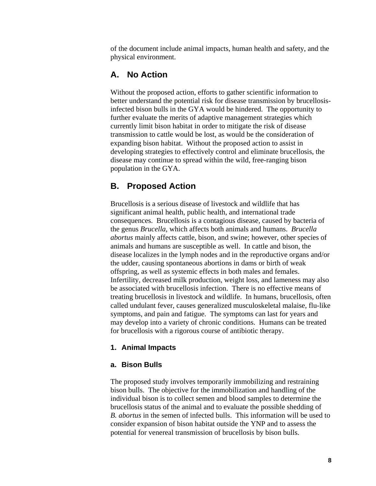of the document include animal impacts, human health and safety, and the physical environment.

## **A. No Action**

Without the proposed action, efforts to gather scientific information to better understand the potential risk for disease transmission by brucellosisinfected bison bulls in the GYA would be hindered. The opportunity to further evaluate the merits of adaptive management strategies which currently limit bison habitat in order to mitigate the risk of disease transmission to cattle would be lost, as would be the consideration of expanding bison habitat. Without the proposed action to assist in developing strategies to effectively control and eliminate brucellosis, the disease may continue to spread within the wild, free-ranging bison population in the GYA.

## **B. Proposed Action**

Brucellosis is a serious disease of livestock and wildlife that has significant animal health, public health, and international trade consequences. Brucellosis is a contagious disease, caused by bacteria of the genus *Brucella*, which affects both animals and humans. *Brucella abortus* mainly affects cattle, bison, and swine; however, other species of animals and humans are susceptible as well. In cattle and bison, the disease localizes in the lymph nodes and in the reproductive organs and/or the udder, causing spontaneous abortions in dams or birth of weak offspring, as well as systemic effects in both males and females. Infertility, decreased milk production, weight loss, and lameness may also be associated with brucellosis infection. There is no effective means of treating brucellosis in livestock and wildlife. In humans, brucellosis, often called undulant fever, causes generalized musculoskeletal malaise, flu-like symptoms, and pain and fatigue. The symptoms can last for years and may develop into a variety of chronic conditions. Humans can be treated for brucellosis with a rigorous course of antibiotic therapy.

#### **1. Animal Impacts**

#### **a. Bison Bulls**

The proposed study involves temporarily immobilizing and restraining bison bulls. The objective for the immobilization and handling of the individual bison is to collect semen and blood samples to determine the brucellosis status of the animal and to evaluate the possible shedding of *B. abortus* in the semen of infected bulls. This information will be used to consider expansion of bison habitat outside the YNP and to assess the potential for venereal transmission of brucellosis by bison bulls.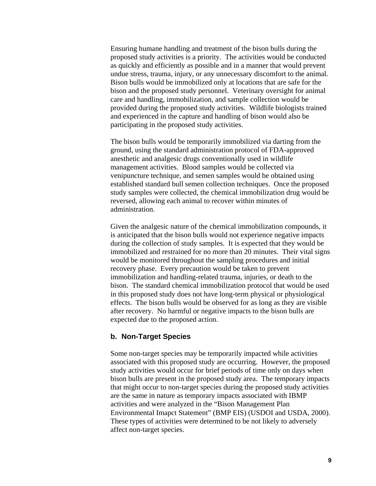Ensuring humane handling and treatment of the bison bulls during the proposed study activities is a priority. The activities would be conducted as quickly and efficiently as possible and in a manner that would prevent undue stress, trauma, injury, or any unnecessary discomfort to the animal. Bison bulls would be immobilized only at locations that are safe for the bison and the proposed study personnel. Veterinary oversight for animal care and handling, immobilization, and sample collection would be provided during the proposed study activities. Wildlife biologists trained and experienced in the capture and handling of bison would also be participating in the proposed study activities.

The bison bulls would be temporarily immobilized via darting from the ground, using the standard administration protocol of FDA-approved anesthetic and analgesic drugs conventionally used in wildlife management activities. Blood samples would be collected via venipuncture technique, and semen samples would be obtained using established standard bull semen collection techniques. Once the proposed study samples were collected, the chemical immobilization drug would be reversed, allowing each animal to recover within minutes of administration.

Given the analgesic nature of the chemical immobilization compounds, it is anticipated that the bison bulls would not experience negative impacts during the collection of study samples. It is expected that they would be immobilized and restrained for no more than 20 minutes. Their vital signs would be monitored throughout the sampling procedures and initial recovery phase. Every precaution would be taken to prevent immobilization and handling-related trauma, injuries, or death to the bison. The standard chemical immobilization protocol that would be used in this proposed study does not have long-term physical or physiological effects. The bison bulls would be observed for as long as they are visible after recovery. No harmful or negative impacts to the bison bulls are expected due to the proposed action.

#### **b. Non-Target Species**

Some non-target species may be temporarily impacted while activities associated with this proposed study are occurring. However, the proposed study activities would occur for brief periods of time only on days when bison bulls are present in the proposed study area. The temporary impacts that might occur to non-target species during the proposed study activities are the same in nature as temporary impacts associated with IBMP activities and were analyzed in the "Bison Management Plan Environmental Imapct Statement" (BMP EIS) (USDOI and USDA, 2000). These types of activities were determined to be not likely to adversely affect non-target species.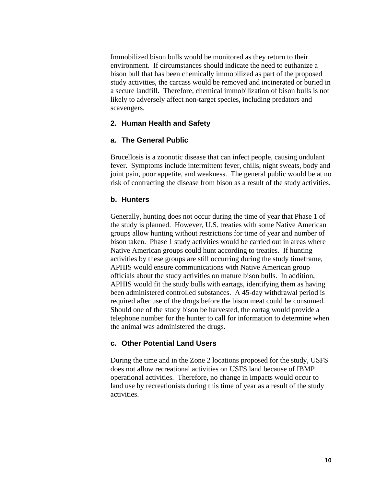Immobilized bison bulls would be monitored as they return to their environment. If circumstances should indicate the need to euthanize a bison bull that has been chemically immobilized as part of the proposed study activities, the carcass would be removed and incinerated or buried in a secure landfill. Therefore, chemical immobilization of bison bulls is not likely to adversely affect non-target species, including predators and scavengers.

#### **2. Human Health and Safety**

#### **a. The General Public**

Brucellosis is a zoonotic disease that can infect people, causing undulant fever. Symptoms include intermittent fever, chills, night sweats, body and joint pain, poor appetite, and weakness. The general public would be at no risk of contracting the disease from bison as a result of the study activities.

#### **b. Hunters**

Generally, hunting does not occur during the time of year that Phase 1 of the study is planned. However, U.S. treaties with some Native American groups allow hunting without restrictions for time of year and number of bison taken. Phase 1 study activities would be carried out in areas where Native American groups could hunt according to treaties. If hunting activities by these groups are still occurring during the study timeframe, APHIS would ensure communications with Native American group officials about the study activities on mature bison bulls. In addition, APHIS would fit the study bulls with eartags, identifying them as having been administered controlled substances. A 45-day withdrawal period is required after use of the drugs before the bison meat could be consumed. Should one of the study bison be harvested, the eartag would provide a telephone number for the hunter to call for information to determine when the animal was administered the drugs.

#### **c. Other Potential Land Users**

During the time and in the Zone 2 locations proposed for the study, USFS does not allow recreational activities on USFS land because of IBMP operational activities. Therefore, no change in impacts would occur to land use by recreationists during this time of year as a result of the study activities.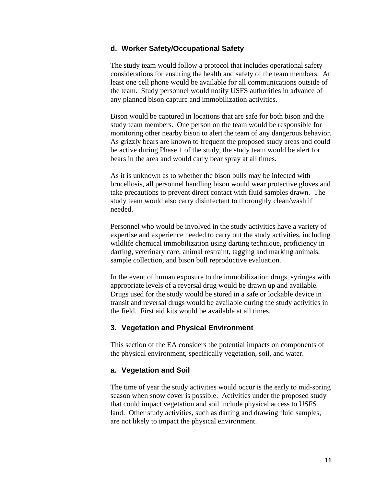#### **d. Worker Safety/Occupational Safety**

The study team would follow a protocol that includes operational safety considerations for ensuring the health and safety of the team members. At least one cell phone would be available for all communications outside of the team. Study personnel would notify USFS authorities in advance of any planned bison capture and immobilization activities.

Bison would be captured in locations that are safe for both bison and the study team members. One person on the team would be responsible for monitoring other nearby bison to alert the team of any dangerous behavior. As grizzly bears are known to frequent the proposed study areas and could be active during Phase 1 of the study, the study team would be alert for bears in the area and would carry bear spray at all times.

As it is unknown as to whether the bison bulls may be infected with brucellosis, all personnel handling bison would wear protective gloves and take precautions to prevent direct contact with fluid samples drawn. The study team would also carry disinfectant to thoroughly clean/wash if needed.

Personnel who would be involved in the study activities have a variety of expertise and experience needed to carry out the study activities, including wildlife chemical immobilization using darting technique, proficiency in darting, veterinary care, animal restraint, tagging and marking animals, sample collection, and bison bull reproductive evaluation.

In the event of human exposure to the immobilization drugs, syringes with appropriate levels of a reversal drug would be drawn up and available. Drugs used for the study would be stored in a safe or lockable device in transit and reversal drugs would be available during the study activities in the field. First aid kits would be available at all times.

#### **3. Vegetation and Physical Environment**

This section of the EA considers the potential impacts on components of the physical environment, specifically vegetation, soil, and water.

#### **a. Vegetation and Soil**

The time of year the study activities would occur is the early to mid-spring season when snow cover is possible. Activities under the proposed study that could impact vegetation and soil include physical access to USFS land. Other study activities, such as darting and drawing fluid samples, are not likely to impact the physical environment.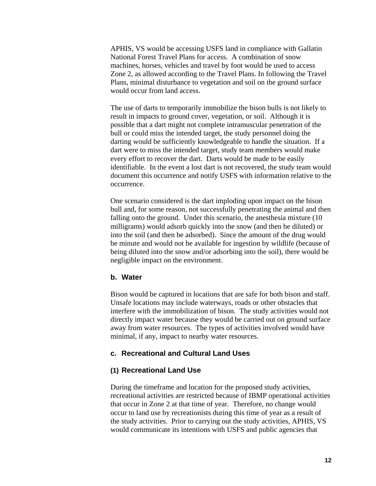APHIS, VS would be accessing USFS land in compliance with Gallatin National Forest Travel Plans for access. A combination of snow machines, horses, vehicles and travel by foot would be used to access Zone 2, as allowed according to the Travel Plans. In following the Travel Plans, minimal disturbance to vegetation and soil on the ground surface would occur from land access.

The use of darts to temporarily immobilize the bison bulls is not likely to result in impacts to ground cover, vegetation, or soil. Although it is possible that a dart might not complete intramuscular penetration of the bull or could miss the intended target, the study personnel doing the darting would be sufficiently knowledgeable to handle the situation. If a dart were to miss the intended target, study team members would make every effort to recover the dart. Darts would be made to be easily identifiable. In the event a lost dart is not recovered, the study team would document this occurrence and notify USFS with information relative to the occurrence.

One scenario considered is the dart imploding upon impact on the bison bull and, for some reason, not successfully penetrating the animal and then falling onto the ground. Under this scenario, the anesthesia mixture (10 milligrams) would adsorb quickly into the snow (and then be diluted) or into the soil (and then be adsorbed). Since the amount of the drug would be minute and would not be available for ingestion by wildlife (because of being diluted into the snow and/or adsorbing into the soil), there would be negligible impact on the environment.

#### **b. Water**

Bison would be captured in locations that are safe for both bison and staff. Unsafe locations may include waterways, roads or other obstacles that interfere with the immobilization of bison. The study activities would not directly impact water because they would be carried out on ground surface away from water resources. The types of activities involved would have minimal, if any, impact to nearby water resources.

#### **c. Recreational and Cultural Land Uses**

#### **(1) Recreational Land Use**

During the timeframe and location for the proposed study activities, recreational activities are restricted because of IBMP operational activities that occur in Zone 2 at that time of year. Therefore, no change would occur to land use by recreationists during this time of year as a result of the study activities. Prior to carrying out the study activities, APHIS, VS would communicate its intentions with USFS and public agencies that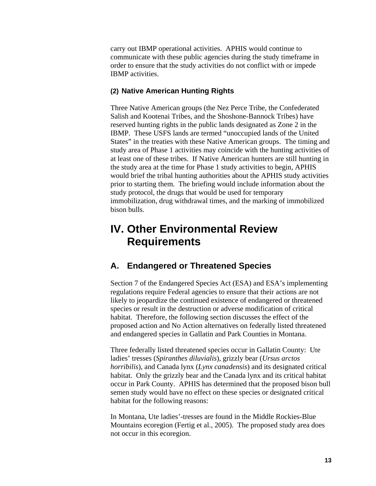carry out IBMP operational activities. APHIS would continue to communicate with these public agencies during the study timeframe in order to ensure that the study activities do not conflict with or impede IBMP activities.

#### **(2) Native American Hunting Rights**

Three Native American groups (the Nez Perce Tribe, the Confederated Salish and Kootenai Tribes, and the Shoshone-Bannock Tribes) have reserved hunting rights in the public lands designated as Zone 2 in the IBMP. These USFS lands are termed "unoccupied lands of the United States" in the treaties with these Native American groups. The timing and study area of Phase 1 activities may coincide with the hunting activities of at least one of these tribes. If Native American hunters are still hunting in the study area at the time for Phase 1 study activities to begin, APHIS would brief the tribal hunting authorities about the APHIS study activities prior to starting them. The briefing would include information about the study protocol, the drugs that would be used for temporary immobilization, drug withdrawal times, and the marking of immobilized bison bulls.

# **IV. Other Environmental Review Requirements**

## **A. Endangered or Threatened Species**

Section 7 of the Endangered Species Act (ESA) and ESA's implementing regulations require Federal agencies to ensure that their actions are not likely to jeopardize the continued existence of endangered or threatened species or result in the destruction or adverse modification of critical habitat. Therefore, the following section discusses the effect of the proposed action and No Action alternatives on federally listed threatened and endangered species in Gallatin and Park Counties in Montana.

Three federally listed threatened species occur in Gallatin County: Ute ladies' tresses (*Spiranthes diluvialis*), grizzly bear (*Ursus arctos horribilis*), and Canada lynx (*Lynx canadensis*) and its designated critical habitat. Only the grizzly bear and the Canada lynx and its critical habitat occur in Park County. APHIS has determined that the proposed bison bull semen study would have no effect on these species or designated critical habitat for the following reasons:

In Montana, Ute ladies'-tresses are found in the Middle Rockies-Blue Mountains ecoregion (Fertig et al., 2005). The proposed study area does not occur in this ecoregion.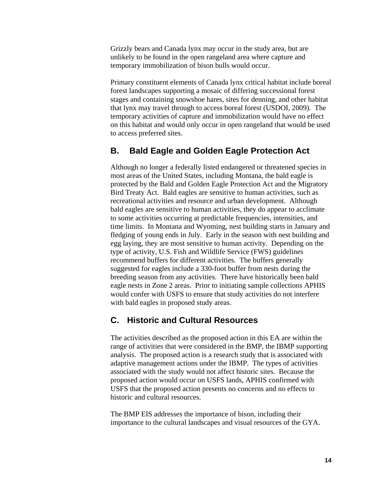Grizzly bears and Canada lynx may occur in the study area, but are unlikely to be found in the open rangeland area where capture and temporary immobilization of bison bulls would occur.

Primary constituent elements of Canada lynx critical habitat include boreal forest landscapes supporting a mosaic of differing successional forest stages and containing snowshoe hares, sites for denning, and other habitat that lynx may travel through to access boreal forest (USDOI, 2009). The temporary activities of capture and immobilization would have no effect on this habitat and would only occur in open rangeland that would be used to access preferred sites.

## **B. Bald Eagle and Golden Eagle Protection Act**

Although no longer a federally listed endangered or threatened species in most areas of the United States, including Montana, the bald eagle is protected by the Bald and Golden Eagle Protection Act and the Migratory Bird Treaty Act. Bald eagles are sensitive to human activities, such as recreational activities and resource and urban development. Although bald eagles are sensitive to human activities, they do appear to acclimate to some activities occurring at predictable frequencies, intensities, and time limits. In Montana and Wyoming, nest building starts in January and fledging of young ends in July. Early in the season with nest building and egg laying, they are most sensitive to human activity. Depending on the type of activity, U.S. Fish and Wildlife Service (FWS) guidelines recommend buffers for different activities. The buffers generally suggested for eagles include a 330-foot buffer from nests during the breeding season from any activities. There have historically been bald eagle nests in Zone 2 areas. Prior to initiating sample collections APHIS would confer with USFS to ensure that study activities do not interfere with bald eagles in proposed study areas.

### **C. Historic and Cultural Resources**

The activities described as the proposed action in this EA are within the range of activities that were considered in the BMP, the IBMP supporting analysis. The proposed action is a research study that is associated with adaptive management actions under the IBMP. The types of activities associated with the study would not affect historic sites. Because the proposed action would occur on USFS lands, APHIS confirmed with USFS that the proposed action presents no concerns and no effects to historic and cultural resources.

The BMP EIS addresses the importance of bison, including their importance to the cultural landscapes and visual resources of the GYA.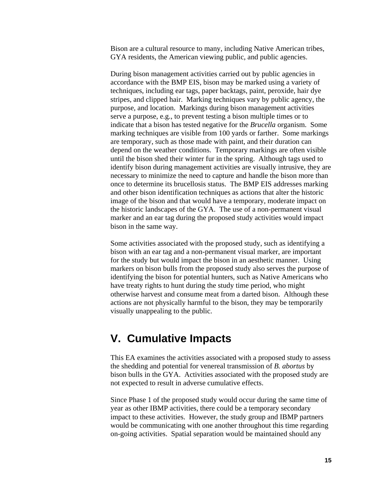Bison are a cultural resource to many, including Native American tribes, GYA residents, the American viewing public, and public agencies.

During bison management activities carried out by public agencies in accordance with the BMP EIS, bison may be marked using a variety of techniques, including ear tags, paper backtags, paint, peroxide, hair dye stripes, and clipped hair. Marking techniques vary by public agency, the purpose, and location. Markings during bison management activities serve a purpose, e.g., to prevent testing a bison multiple times or to indicate that a bison has tested negative for the *Brucella* organism. Some marking techniques are visible from 100 yards or farther. Some markings are temporary, such as those made with paint, and their duration can depend on the weather conditions. Temporary markings are often visible until the bison shed their winter fur in the spring. Although tags used to identify bison during management activities are visually intrusive, they are necessary to minimize the need to capture and handle the bison more than once to determine its brucellosis status. The BMP EIS addresses marking and other bison identification techniques as actions that alter the historic image of the bison and that would have a temporary, moderate impact on the historic landscapes of the GYA. The use of a non-permanent visual marker and an ear tag during the proposed study activities would impact bison in the same way.

Some activities associated with the proposed study, such as identifying a bison with an ear tag and a non-permanent visual marker, are important for the study but would impact the bison in an aesthetic manner. Using markers on bison bulls from the proposed study also serves the purpose of identifying the bison for potential hunters, such as Native Americans who have treaty rights to hunt during the study time period, who might otherwise harvest and consume meat from a darted bison. Although these actions are not physically harmful to the bison, they may be temporarily visually unappealing to the public.

## **V. Cumulative Impacts**

This EA examines the activities associated with a proposed study to assess the shedding and potential for venereal transmission of *B. abortus* by bison bulls in the GYA. Activities associated with the proposed study are not expected to result in adverse cumulative effects.

Since Phase 1 of the proposed study would occur during the same time of year as other IBMP activities, there could be a temporary secondary impact to these activities. However, the study group and IBMP partners would be communicating with one another throughout this time regarding on-going activities. Spatial separation would be maintained should any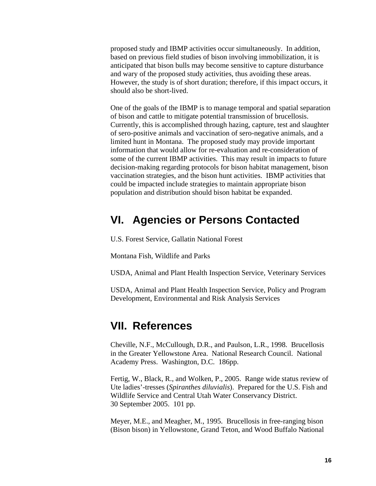proposed study and IBMP activities occur simultaneously. In addition, based on previous field studies of bison involving immobilization, it is anticipated that bison bulls may become sensitive to capture disturbance and wary of the proposed study activities, thus avoiding these areas. However, the study is of short duration; therefore, if this impact occurs, it should also be short-lived.

One of the goals of the IBMP is to manage temporal and spatial separation of bison and cattle to mitigate potential transmission of brucellosis. Currently, this is accomplished through hazing, capture, test and slaughter of sero-positive animals and vaccination of sero-negative animals, and a limited hunt in Montana. The proposed study may provide important information that would allow for re-evaluation and re-consideration of some of the current IBMP activities. This may result in impacts to future decision-making regarding protocols for bison habitat management, bison vaccination strategies, and the bison hunt activities. IBMP activities that could be impacted include strategies to maintain appropriate bison population and distribution should bison habitat be expanded.

## **VI. Agencies or Persons Contacted**

U.S. Forest Service, Gallatin National Forest

Montana Fish, Wildlife and Parks

USDA, Animal and Plant Health Inspection Service, Veterinary Services

USDA, Animal and Plant Health Inspection Service, Policy and Program Development, Environmental and Risk Analysis Services

## **VII. References**

Cheville, N.F., McCullough, D.R., and Paulson, L.R., 1998. Brucellosis in the Greater Yellowstone Area. National Research Council. National Academy Press. Washington, D.C. 186pp.

Fertig, W., Black, R., and Wolken, P., 2005. Range wide status review of Ute ladies'-tresses (*Spiranthes diluvialis*). Prepared for the U.S. Fish and Wildlife Service and Central Utah Water Conservancy District. 30 September 2005. 101 pp.

Meyer, M.E., and Meagher, M., 1995. Brucellosis in free-ranging bison (Bison bison) in Yellowstone, Grand Teton, and Wood Buffalo National